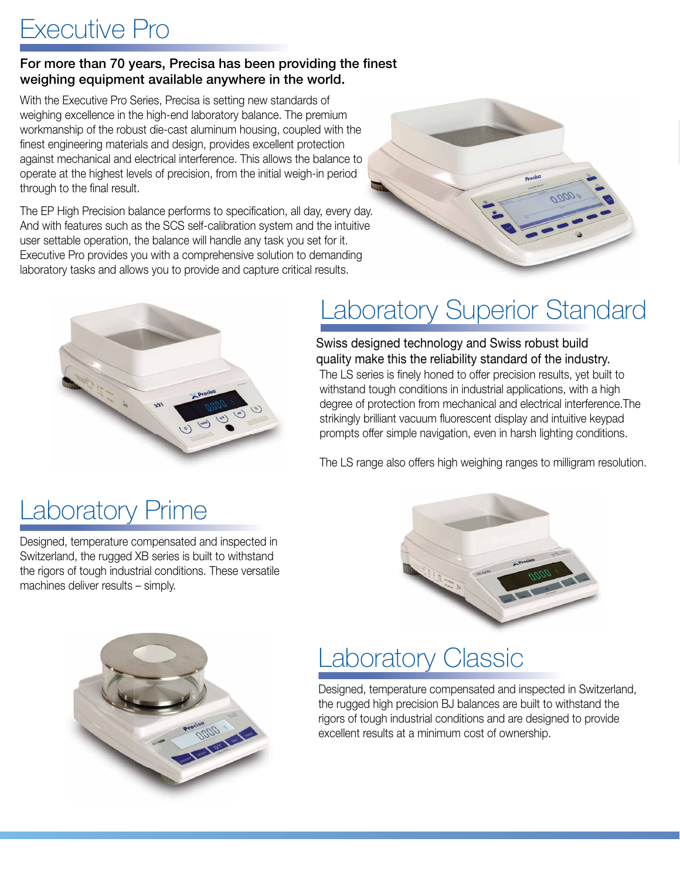#### Executive Pro

#### For more than 70 years, Precisa has been providing the finest weighing equipment available anywhere in the world.

With the Executive Pro Series, Precisa is setting new standards of weighing excellence in the high-end laboratory balance. The premium workmanship of the robust die-cast aluminum housing, coupled with the finest engineering materials and design, provides excellent protection against mechanical and electrical interference. This allows the balance to operate at the highest levels of precision, from the initial weigh-in period through to the final result.

The EP High Precision balance performs to specification, all day, every day. And with features such as the SCS self-calibration system and the intuitive user settable operation, the balance will handle any task you set for it. Executive Pro provides you with a comprehensive solution to demanding laboratory tasks and allows you to provide and capture critical results.





# Laboratory Superior Standard

The LS series is finely honed to offer precision results, yet built to withstand tough conditions in industrial applications, with a high degree of protection from mechanical and electrical interference.The strikingly brilliant vacuum fluorescent display and intuitive keypad prompts offer simple navigation, even in harsh lighting conditions. Swiss designed technology and Swiss robust build quality make this the reliability standard of the industry.

The LS range also offers high weighing ranges to milligram resolution.

## **Laboratory Prime**

Designed, temperature compensated and inspected in Switzerland, the rugged XB series is built to withstand the rigors of tough industrial conditions. These versatile machines deliver results – simply.





## aboratory Classic

Designed, temperature compensated and inspected in Switzerland, the rugged high precision BJ balances are built to withstand the rigors of tough industrial conditions and are designed to provide excellent results at a minimum cost of ownership.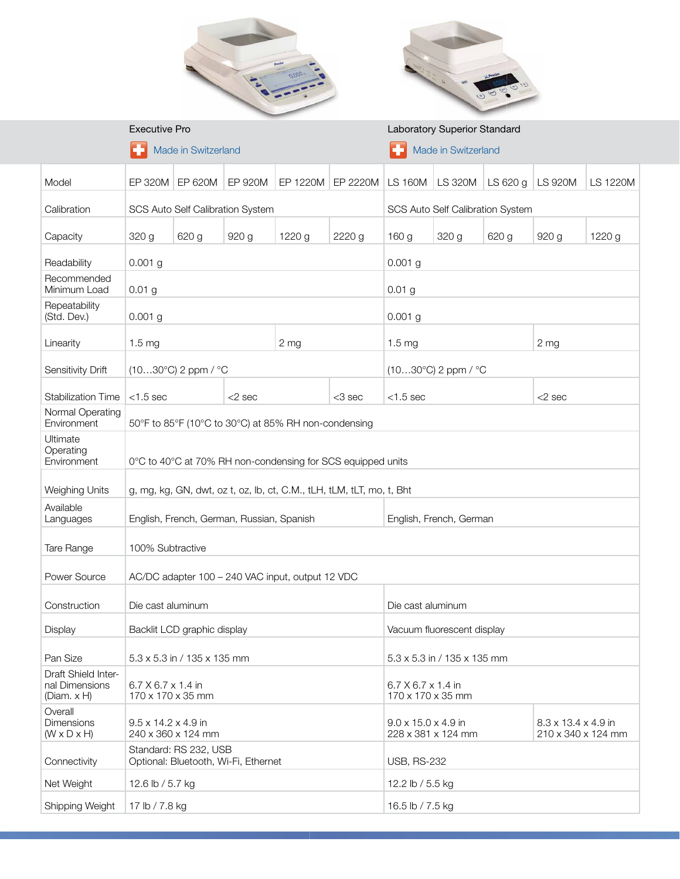



|                                                      | <b>Executive Pro</b>                                                  |         |           |                 | <b>Laboratory Superior Standard</b>                 |                                       |                |                                                       |                |          |
|------------------------------------------------------|-----------------------------------------------------------------------|---------|-----------|-----------------|-----------------------------------------------------|---------------------------------------|----------------|-------------------------------------------------------|----------------|----------|
|                                                      | Made in Switzerland                                                   |         |           |                 | Made in Switzerland                                 |                                       |                |                                                       |                |          |
| Model                                                | EP 320M                                                               | EP 620M | EP 920M   | EP 1220M        | EP 2220M                                            | <b>LS 160M</b>                        | <b>LS 320M</b> | LS 620 g                                              | <b>LS 920M</b> | LS 1220M |
| Calibration                                          | SCS Auto Self Calibration System                                      |         |           |                 | SCS Auto Self Calibration System                    |                                       |                |                                                       |                |          |
| Capacity                                             | 320 g                                                                 | 620 g   | 920 g     | 1220 g          | 2220 g                                              | 160 g                                 | 320 g          | 620 g                                                 | 920 g          | 1220 g   |
| Readability                                          | $0.001$ g                                                             |         |           |                 | $0.001$ g                                           |                                       |                |                                                       |                |          |
| Recommended<br>Minimum Load                          | 0.01 <sub>g</sub>                                                     |         |           |                 | 0.01 <sub>g</sub>                                   |                                       |                |                                                       |                |          |
| Repeatability<br>(Std. Dev.)                         | $0.001$ g                                                             |         |           |                 | $0.001$ g                                           |                                       |                |                                                       |                |          |
| Linearity                                            | 1.5 <sub>mg</sub>                                                     |         |           | 2 <sub>mg</sub> |                                                     | 1.5 <sub>mg</sub>                     |                | 2 <sub>mg</sub>                                       |                |          |
| Sensitivity Drift                                    | $(1030^{\circ}C)$ 2 ppm / $^{\circ}C$                                 |         |           |                 |                                                     | $(1030^{\circ}C)$ 2 ppm / $^{\circ}C$ |                |                                                       |                |          |
| <b>Stabilization Time</b>                            | $<$ 1.5 sec                                                           |         | $<$ 2 sec |                 | <3 sec                                              | $<$ 1.5 sec                           |                | $<$ 2 sec                                             |                |          |
| Normal Operating<br>Environment                      | 50°F to 85°F (10°C to 30°C) at 85% RH non-condensing                  |         |           |                 |                                                     |                                       |                |                                                       |                |          |
| Ultimate<br>Operating<br>Environment                 | 0°C to 40°C at 70% RH non-condensing for SCS equipped units           |         |           |                 |                                                     |                                       |                |                                                       |                |          |
| Weighing Units                                       | g, mg, kg, GN, dwt, oz t, oz, lb, ct, C.M., tLH, tLM, tLT, mo, t, Bht |         |           |                 |                                                     |                                       |                |                                                       |                |          |
| Available<br>Languages                               | English, French, German, Russian, Spanish                             |         |           |                 | English, French, German                             |                                       |                |                                                       |                |          |
| Tare Range                                           | 100% Subtractive                                                      |         |           |                 |                                                     |                                       |                |                                                       |                |          |
| Power Source                                         | AC/DC adapter 100 - 240 VAC input, output 12 VDC                      |         |           |                 |                                                     |                                       |                |                                                       |                |          |
| Construction                                         | Die cast aluminum                                                     |         |           |                 |                                                     | Die cast aluminum                     |                |                                                       |                |          |
| Display                                              | Backlit LCD graphic display                                           |         |           |                 | Vacuum fluorescent display                          |                                       |                |                                                       |                |          |
| Pan Size                                             | 5.3 x 5.3 in / 135 x 135 mm                                           |         |           |                 |                                                     | 5.3 x 5.3 in / 135 x 135 mm           |                |                                                       |                |          |
| Draft Shield Inter-<br>nal Dimensions<br>(Diam. x H) | 6.7 X 6.7 x 1.4 in<br>170 x 170 x 35 mm                               |         |           |                 | $6.7 \times 6.7 \times 1.4$ in<br>170 x 170 x 35 mm |                                       |                |                                                       |                |          |
| Overall<br>Dimensions<br>$(W \times D \times H)$     | 9.5 x 14.2 x 4.9 in<br>240 x 360 x 124 mm                             |         |           |                 | 9.0 x 15.0 x 4.9 in                                 | 228 x 381 x 124 mm                    |                | $8.3 \times 13.4 \times 4.9$ in<br>210 x 340 x 124 mm |                |          |
| Connectivity                                         | Standard: RS 232, USB<br>Optional: Bluetooth, Wi-Fi, Ethernet         |         |           |                 | <b>USB, RS-232</b>                                  |                                       |                |                                                       |                |          |
| Net Weight                                           | 12.6 lb / 5.7 kg                                                      |         |           |                 | 12.2 lb / 5.5 kg                                    |                                       |                |                                                       |                |          |
| Shipping Weight                                      | 17 lb / 7.8 kg                                                        |         |           |                 | 16.5 lb / 7.5 kg                                    |                                       |                |                                                       |                |          |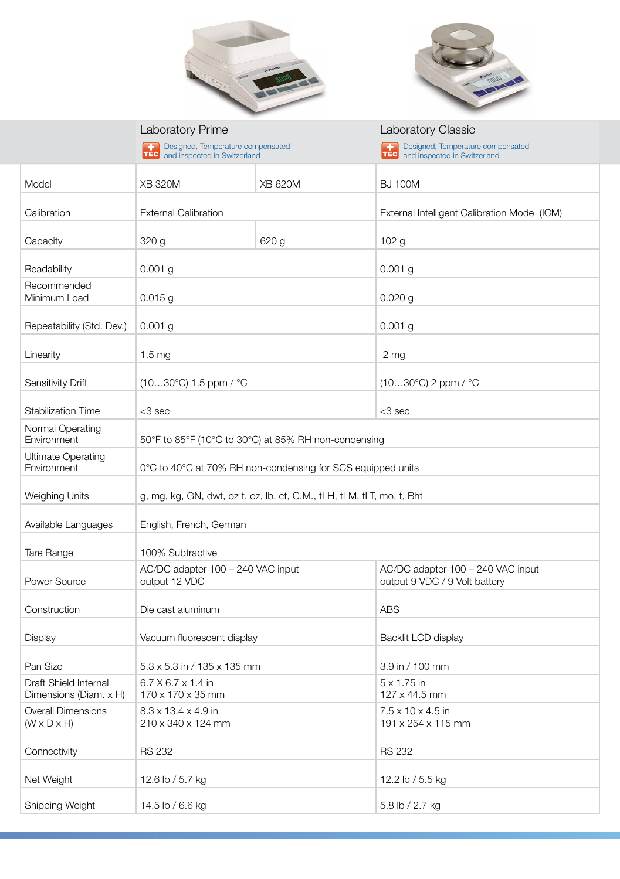



|                                                      | <b>Laboratory Prime</b>                                               |                | <b>Laboratory Classic</b>                                                  |  |  |  |
|------------------------------------------------------|-----------------------------------------------------------------------|----------------|----------------------------------------------------------------------------|--|--|--|
|                                                      | Designed, Temperature compensated<br>TEC and inspected in Switzerland |                | Designed, Temperature compensated<br> TEC <br>and inspected in Switzerland |  |  |  |
|                                                      |                                                                       |                |                                                                            |  |  |  |
| Model                                                | <b>XB 320M</b>                                                        | <b>XB 620M</b> | <b>BJ 100M</b>                                                             |  |  |  |
| Calibration                                          | <b>External Calibration</b>                                           |                | External Intelligent Calibration Mode (ICM)                                |  |  |  |
|                                                      |                                                                       |                |                                                                            |  |  |  |
| Capacity                                             | 320 g                                                                 | 620 g          | 102 <sub>g</sub>                                                           |  |  |  |
| Readability                                          | $0.001$ g                                                             |                | $0.001$ g                                                                  |  |  |  |
| Recommended                                          |                                                                       |                |                                                                            |  |  |  |
| Minimum Load                                         | $0.015$ g                                                             |                | $0.020$ g                                                                  |  |  |  |
| Repeatability (Std. Dev.)                            | $0.001$ g                                                             |                | $0.001$ g                                                                  |  |  |  |
|                                                      |                                                                       |                |                                                                            |  |  |  |
| Linearity                                            | 1.5 <sub>mg</sub>                                                     |                | 2 <sub>mg</sub>                                                            |  |  |  |
| Sensitivity Drift                                    | $(1030^{\circ}C)$ 1.5 ppm / $^{\circ}C$                               |                | $(1030^{\circ}C)$ 2 ppm / $^{\circ}C$                                      |  |  |  |
|                                                      |                                                                       |                |                                                                            |  |  |  |
| <b>Stabilization Time</b>                            | $<$ 3 sec                                                             |                | $<$ 3 sec                                                                  |  |  |  |
| Normal Operating<br>Environment                      | 50°F to 85°F (10°C to 30°C) at 85% RH non-condensing                  |                |                                                                            |  |  |  |
| <b>Ultimate Operating</b><br>Environment             | 0°C to 40°C at 70% RH non-condensing for SCS equipped units           |                |                                                                            |  |  |  |
| <b>Weighing Units</b>                                | g, mg, kg, GN, dwt, oz t, oz, lb, ct, C.M., tLH, tLM, tLT, mo, t, Bht |                |                                                                            |  |  |  |
| Available Languages                                  | English, French, German                                               |                |                                                                            |  |  |  |
| Tare Range                                           | 100% Subtractive                                                      |                |                                                                            |  |  |  |
| Power Source                                         | AC/DC adapter 100 - 240 VAC input<br>output 12 VDC                    |                | AC/DC adapter 100 - 240 VAC input<br>output 9 VDC / 9 Volt battery         |  |  |  |
| Construction                                         | Die cast aluminum                                                     |                | <b>ABS</b>                                                                 |  |  |  |
| Display                                              | Vacuum fluorescent display                                            |                | Backlit LCD display                                                        |  |  |  |
| Pan Size                                             | 5.3 x 5.3 in / 135 x 135 mm                                           |                | 3.9 in / 100 mm                                                            |  |  |  |
| Draft Shield Internal                                | $6.7 \times 6.7 \times 1.4$ in                                        |                | $5 \times 1.75$ in                                                         |  |  |  |
| Dimensions (Diam. x H)                               | 170 x 170 x 35 mm                                                     |                | 127 x 44.5 mm                                                              |  |  |  |
| <b>Overall Dimensions</b><br>$(W \times D \times H)$ | 8.3 x 13.4 x 4.9 in<br>210 x 340 x 124 mm                             |                | 7.5 x 10 x 4.5 in<br>191 x 254 x 115 mm                                    |  |  |  |
|                                                      |                                                                       |                |                                                                            |  |  |  |
| Connectivity                                         | <b>RS 232</b>                                                         |                | <b>RS 232</b>                                                              |  |  |  |
| Net Weight                                           | 12.6 lb / 5.7 kg                                                      |                | 12.2 lb / 5.5 kg                                                           |  |  |  |
| Shipping Weight                                      | 14.5 lb / 6.6 kg                                                      |                | 5.8 lb / 2.7 kg                                                            |  |  |  |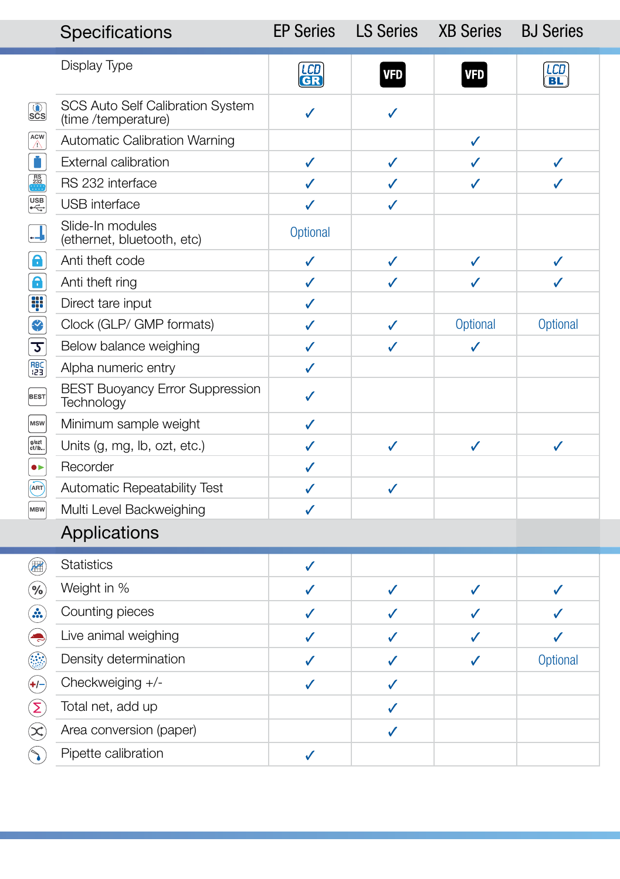|                                                                      | Specifications                                                 | <b>EP Series</b> | <b>LS Series</b> | <b>XB Series</b> | <b>BJ Series</b> |
|----------------------------------------------------------------------|----------------------------------------------------------------|------------------|------------------|------------------|------------------|
|                                                                      | Display Type                                                   | <b>LCD</b><br>GR | <b>VFD</b>       | <b>VFD</b>       | $\frac{LCD}{B}$  |
| $\overline{\mathbf{sc}}$                                             | <b>SCS Auto Self Calibration System</b><br>(time /temperature) | $\checkmark$     | $\checkmark$     |                  |                  |
| $\begin{bmatrix} ACW \\ \triangle \end{bmatrix}$                     | <b>Automatic Calibration Warning</b>                           |                  |                  | $\checkmark$     |                  |
| Ũ                                                                    | <b>External calibration</b>                                    | $\checkmark$     | $\checkmark$     | $\checkmark$     | J                |
| $\begin{array}{c}\n\stackrel{\text{RS}}{232} \\ \hline\n\end{array}$ | RS 232 interface                                               | $\checkmark$     | $\checkmark$     | $\checkmark$     | J                |
| $\left[\begin{matrix}\n\text{USB} \\ \text{++}\n\end{matrix}\right]$ | USB interface                                                  | J                | $\checkmark$     |                  |                  |
| $\Box$                                                               | Slide-In modules<br>(ethernet, bluetooth, etc)                 | Optional         |                  |                  |                  |
| $\bullet$                                                            | Anti theft code                                                | $\checkmark$     | $\checkmark$     | $\checkmark$     | ✓                |
| $\mathbf{\Omega}$                                                    | Anti theft ring                                                | $\checkmark$     | $\checkmark$     | $\checkmark$     | J                |
| W                                                                    | Direct tare input                                              | $\checkmark$     |                  |                  |                  |
| ₩                                                                    | Clock (GLP/ GMP formats)                                       | $\checkmark$     | $\checkmark$     | Optional         | Optional         |
| $\overline{v}$                                                       | Below balance weighing                                         | $\checkmark$     | $\checkmark$     | $\checkmark$     |                  |
| RBC)<br>(23)                                                         | Alpha numeric entry                                            | ✓                |                  |                  |                  |
| BEST                                                                 | <b>BEST Buoyancy Error Suppression</b><br>Technology           | $\checkmark$     |                  |                  |                  |
| <b>MSW</b>                                                           | Minimum sample weight                                          | $\checkmark$     |                  |                  |                  |
| $g$ /ozt<br>ct/lb                                                    | Units (g, mg, lb, ozt, etc.)                                   | $\checkmark$     | $\checkmark$     | $\checkmark$     | $\checkmark$     |
| $\bullet \vdash$                                                     | Recorder                                                       | $\checkmark$     |                  |                  |                  |
| $\overline{\text{ART}}$                                              | <b>Automatic Repeatability Test</b>                            | $\checkmark$     | $\checkmark$     |                  |                  |
| <b>MBW</b>                                                           | Multi Level Backweighing                                       | $\checkmark$     |                  |                  |                  |
|                                                                      | Applications                                                   |                  |                  |                  |                  |
| 儞                                                                    | <b>Statistics</b>                                              | $\checkmark$     |                  |                  |                  |
| $(\%)$                                                               | Weight in %                                                    | $\checkmark$     | $\checkmark$     | $\checkmark$     | ✓                |
| $\left( \text{.}\right)$                                             | Counting pieces                                                | $\checkmark$     | ✓                | ✓                |                  |
| $\left( \bullet \right)$                                             | Live animal weighing                                           | $\checkmark$     | $\checkmark$     | ✓                | J                |
|                                                                      | Density determination                                          | $\checkmark$     | ✓                | ✓                | Optional         |
| $(+/-)$                                                              | Checkweiging +/-                                               | $\checkmark$     | $\checkmark$     |                  |                  |
| $\left(\sum\right)$                                                  | Total net, add up                                              |                  | $\checkmark$     |                  |                  |
| $\left( \mathbf{\hat{x}}\right)$                                     | Area conversion (paper)                                        |                  | $\checkmark$     |                  |                  |
| $(\hat{\phantom{a}})$                                                | Pipette calibration                                            | $\checkmark$     |                  |                  |                  |